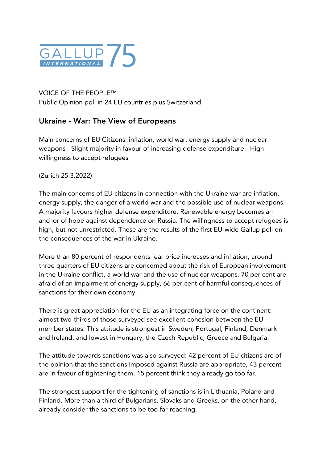

VOICE OF THE PEOPLE™ Public Opinion poll in 24 EU countries plus Switzerland

## Ukraine - War: The View of Europeans

Main concerns of EU Citizens: inflation, world war, energy supply and nuclear weapons - Slight majority in favour of increasing defense expenditure - High willingness to accept refugees

(Zurich 25.3.2022)

The main concerns of EU citizens in connection with the Ukraine war are inflation, energy supply, the danger of a world war and the possible use of nuclear weapons. A majority favours higher defense expenditure. Renewable energy becomes an anchor of hope against dependence on Russia. The willingness to accept refugees is high, but not unrestricted. These are the results of the first EU-wide Gallup poll on the consequences of the war in Ukraine.

More than 80 percent of respondents fear price increases and inflation, around three quarters of EU citizens are concerned about the risk of European involvement in the Ukraine conflict, a world war and the use of nuclear weapons. 70 per cent are afraid of an impairment of energy supply, 66 per cent of harmful consequences of sanctions for their own economy.

There is great appreciation for the EU as an integrating force on the continent: almost two-thirds of those surveyed see excellent cohesion between the EU member states. This attitude is strongest in Sweden, Portugal, Finland, Denmark and Ireland, and lowest in Hungary, the Czech Republic, Greece and Bulgaria.

The attitude towards sanctions was also surveyed: 42 percent of EU citizens are of the opinion that the sanctions imposed against Russia are appropriate, 43 percent are in favour of tightening them, 15 percent think they already go too far.

The strongest support for the tightening of sanctions is in Lithuania, Poland and Finland. More than a third of Bulgarians, Slovaks and Greeks, on the other hand, already consider the sanctions to be too far-reaching.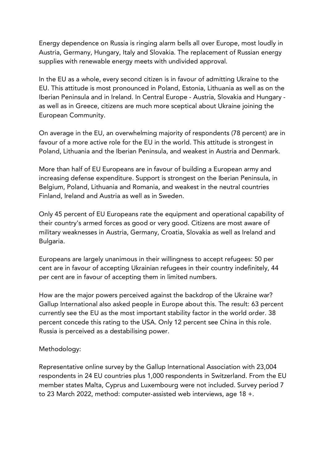Energy dependence on Russia is ringing alarm bells all over Europe, most loudly in Austria, Germany, Hungary, Italy and Slovakia. The replacement of Russian energy supplies with renewable energy meets with undivided approval.

In the EU as a whole, every second citizen is in favour of admitting Ukraine to the EU. This attitude is most pronounced in Poland, Estonia, Lithuania as well as on the Iberian Peninsula and in Ireland. In Central Europe - Austria, Slovakia and Hungary as well as in Greece, citizens are much more sceptical about Ukraine joining the European Community.

On average in the EU, an overwhelming majority of respondents (78 percent) are in favour of a more active role for the EU in the world. This attitude is strongest in Poland, Lithuania and the Iberian Peninsula, and weakest in Austria and Denmark.

More than half of EU Europeans are in favour of building a European army and increasing defense expenditure. Support is strongest on the Iberian Peninsula, in Belgium, Poland, Lithuania and Romania, and weakest in the neutral countries Finland, Ireland and Austria as well as in Sweden.

Only 45 percent of EU Europeans rate the equipment and operational capability of their country's armed forces as good or very good. Citizens are most aware of military weaknesses in Austria, Germany, Croatia, Slovakia as well as Ireland and Bulgaria.

Europeans are largely unanimous in their willingness to accept refugees: 50 per cent are in favour of accepting Ukrainian refugees in their country indefinitely, 44 per cent are in favour of accepting them in limited numbers.

How are the major powers perceived against the backdrop of the Ukraine war? Gallup International also asked people in Europe about this. The result: 63 percent currently see the EU as the most important stability factor in the world order. 38 percent concede this rating to the USA. Only 12 percent see China in this role. Russia is perceived as a destabilising power.

## Methodology:

Representative online survey by the Gallup International Association with 23,004 respondents in 24 EU countries plus 1,000 respondents in Switzerland. From the EU member states Malta, Cyprus and Luxembourg were not included. Survey period 7 to 23 March 2022, method: computer-assisted web interviews, age 18 +.